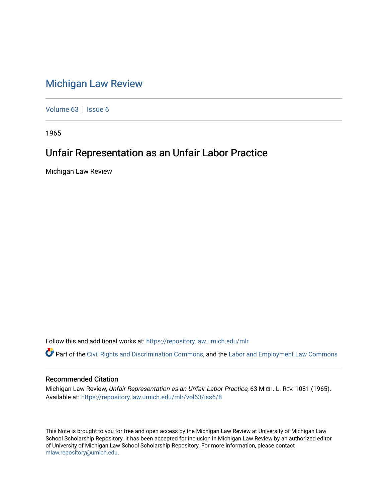# [Michigan Law Review](https://repository.law.umich.edu/mlr)

[Volume 63](https://repository.law.umich.edu/mlr/vol63) | [Issue 6](https://repository.law.umich.edu/mlr/vol63/iss6)

1965

# Unfair Representation as an Unfair Labor Practice

Michigan Law Review

Follow this and additional works at: [https://repository.law.umich.edu/mlr](https://repository.law.umich.edu/mlr?utm_source=repository.law.umich.edu%2Fmlr%2Fvol63%2Fiss6%2F8&utm_medium=PDF&utm_campaign=PDFCoverPages) 

Part of the [Civil Rights and Discrimination Commons,](http://network.bepress.com/hgg/discipline/585?utm_source=repository.law.umich.edu%2Fmlr%2Fvol63%2Fiss6%2F8&utm_medium=PDF&utm_campaign=PDFCoverPages) and the [Labor and Employment Law Commons](http://network.bepress.com/hgg/discipline/909?utm_source=repository.law.umich.edu%2Fmlr%2Fvol63%2Fiss6%2F8&utm_medium=PDF&utm_campaign=PDFCoverPages) 

### Recommended Citation

Michigan Law Review, Unfair Representation as an Unfair Labor Practice, 63 MICH. L. REV. 1081 (1965). Available at: [https://repository.law.umich.edu/mlr/vol63/iss6/8](https://repository.law.umich.edu/mlr/vol63/iss6/8?utm_source=repository.law.umich.edu%2Fmlr%2Fvol63%2Fiss6%2F8&utm_medium=PDF&utm_campaign=PDFCoverPages)

This Note is brought to you for free and open access by the Michigan Law Review at University of Michigan Law School Scholarship Repository. It has been accepted for inclusion in Michigan Law Review by an authorized editor of University of Michigan Law School Scholarship Repository. For more information, please contact [mlaw.repository@umich.edu.](mailto:mlaw.repository@umich.edu)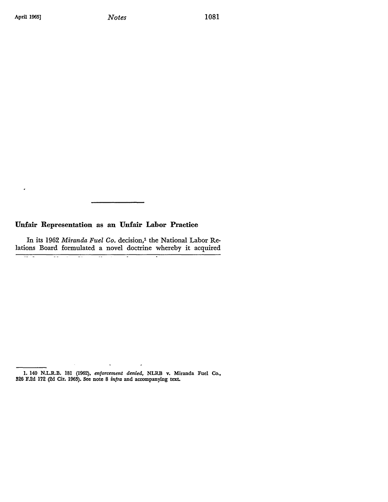$\bullet$ 

<del>unu</del>

Ŧ.

 $\overline{\mathbb{R}}$ 

## **Unfair Representation as an Unfair Labor Practice**

 $\overline{\mathcal{L}}$ 

In its 1962 *Miranda Fuel Co.* decision,<sup>1</sup> the National Labor Relations Board formulated a novel doctrine whereby it acquired

÷

 $\overline{\phantom{a}}$ 

 $\ddot{\phantom{a}}$ 

<sup>1. 140</sup> N.L.R.B. 181 (1962), *enforcement denied,* NLRB v. Miranda Fuel Co., 326 F.2d 172 (2d Cir. 1963). See note 8 infra and accompanying text.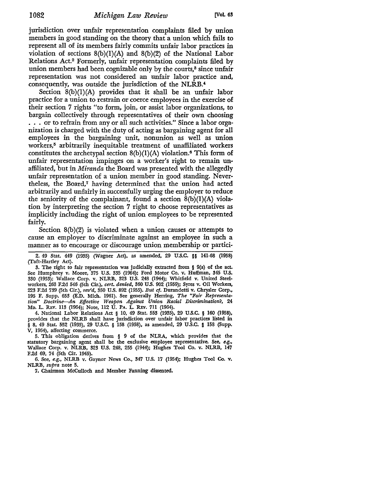jurisdiction over unfair representation complaints filed by union members in good standing on the theory that a union which fails to represent all of its members fairly commits unfair labor practices in violation of sections  $8(b)(1)(A)$  and  $8(b)(2)$  of the National Labor Relations Act.2 Formerly, unfair representation complaints filed by union members had been cognizable only by the courts,<sup>3</sup> since unfair representation was not considered an unfair labor practice and, consequently, was outside the jurisdiction of the NLRB.'

Section  $8(b)(1)(A)$  provides that it shall be an unfair labor practice for a union to restrain or coerce employees in the exercise of their section 7 rights "to form, join, or assist labor organizations, to bargain collectively through representatives of their own choosing . . . or to refrain from any or all such activities." Since a labor organization is charged with the duty of acting as bargaining agent for all employees in the bargaining unit, nonunion as well as union workers,5 arbitrarily inequitable treatment of unaffiliated workers constitutes the archetypal section  $8(b)(1)(A)$  violation.<sup>6</sup> This form of unfair representation impinges on a worker's right to remain unaffiliated, but in *Miranda* the Board was presented with the allegedly unfair representation of a union member in good standing. Nevertheless, the Board,<sup>7</sup> having determined that the union had acted arbitrarily and unfairly in successfully urging the employer to reduce the seniority of the complainant, found a section  $8(b)(1)(A)$  violation by interpreting the section 7 right to choose representatives as implicitly including the right of union employees to be represented fairly.

Section 8(b)(2) is violated when a union causes or attempts to cause an employer to discriminate against an employee in such a manner as to encourage or discourage union membership or partici-

2. 49 Stat. 449 (1935) (Wagner Act), as amended, 29 U.S.C. §§ 141-68 (1958) (Taft-Hardey Act).

3. The right to fair representation was judicially extracted from § 9(a) of the act. See Humphrey v. Moore, 375 U.S. 335 (1964); Ford Motor Co. v. Huffman, 345 U.S. 330 (1953); Wallace Corp. v. NLRB, 323 U.S. 248 (1944); Whitfield v. United Steelworkers, 263 F.2d 546 (5th Cir.), *cert. denied,* 360 U.S. 902 (1959); Syres v. Oil Workers, 223 F.2d 739 (5th Cir.), *rev'd,* 350 U.S. 892 (1955). *But* cf. Durandetti v. Chrysler Corp., 195 F. Supp. 653 (E.D. Mich. 1961). See generally Herring, The "Fair Representa*tion" Doctrine-An Effective Weapon Against Union Racial Discrimination?,* 24 Mo. L. REv. 113 (1964); Note, 112 U. PA. L. REv. 711 (1964).

4. National Labor Relations Act § 10, 49 Stat. 553 (1935), 29 U.S.C. § 160 (1958), provides that the NLRB shall have jurisdiction over unfair labor practices listed in § 8, 49 Stat. 552 (1935), 29 U.S.C. § 158 (1958), as amended, 29 U.S.C. § 158 (Supp. V, 1964), affecting commerce.

5. This obligation derives from § 9 of the NLRA, which provides that the statutory bargaining agent shall be the exclusive employee representative. See, *e.g.,*  Wallace Corp. v. NLRB, 323 U.S. 248, 255 (1944); Hughes Tool Co. v. NLRB, 147 F.2d 69, 74 (5th Cir. 1945).

6. See, *e.g.,* NLRB v. Gaynor News Co., 347 U.S. 17 (1954); Hughes Tool Co. v. NLRB, *supra* note 5.

7. Chairman McCulloch and Member Fanning dissented.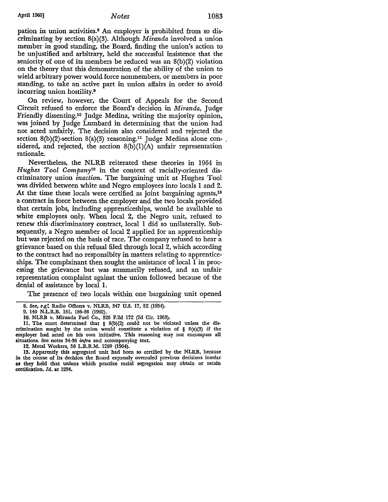pation in union activities.8 An employer is prohibited from so discriminating by section 8(a)(3). Although *Miranda* involved a union member in good standing, the Board, finding the union's action to be unjustified and arbitrary, held the successful insistence that the seniority of one of its members be reduced was an 8(b)(2) violation on the theory that this demonstration of the ability of the union to wield arbitrary power would force nonmembers, or members in poor standing, to take an active part in union affairs in order to avoid incurring union hostility.<sup>9</sup>

On review, however, the Court of Appeals for the Second Circuit refused to enforce the Board's decision in *Miranda,* Judge Friendly dissenting.10 Judge Medina, writing the majority opinion, was joined by Judge Lumbard in determining that the union had not acted unfairly. The decision also considered and rejected the section  $8(b)(2)$ -section  $8(a)(3)$  reasoning.<sup>11</sup> Judge Medina alone considered, and rejected, the section  $8(b)(1)(A)$  unfair representation rationale.

Nevertheless, the NLRB reiterated these theories in 1964 in *Hughes Tool Company12.* in the context of racially-oriented discriminatory union *inaction.* The bargaining unit at Hughes Tool was divided between white and Negro employees into locals I and 2. At the time these locals were certified as joint bargaining agents,<sup>13</sup> a contract in force between the employer and the two locals provided that certain jobs, including apprenticeships, would be available to white employees only. When local 2, the Negro unit, refused to renew this discriminatory contract, local I did so unilaterally. Subsequently, a Negro member of local 2 applied for an apprenticeship but was rejected on the basis of race. The company refused to hear a grievance based on this refusal filed through local 2, which according to the contract had no responsibity in matters relating to apprenticeships. The complainant then sought the assistance of local I in processing the grievance but was summarily refused, and an unfair representation complaint against the union followed because of the denial of assistance by local I.

The presence of two locals within one bargaining unit opened

11. The court determined that § 8(b)(2} could not be violated unless the discrimination sought by the union would constitute a violation of  $\S$  8(a)(3) if the employer had acted on his own initiative. This reasoning may not encompass all situations. See notes 34-36 *infra* and accompanying text.

13. Apparently this segregated unit had been so certified by the NLRB, because in the course of its decision the Board expressly overruled previous decisions insofar as they held that unions which practice racial segregation may obtain or retain certification. *Id.* at 1294.

<sup>8.</sup> See, *e.g:,* Radio Officers v. NLRB, 347 U.S. 17, 52 (1954).

<sup>9. 140</sup> N.L.R.B. 181, 186-88 (1962).

<sup>10.</sup> NLRB v. Miranda Fuel Co., 326 F.2d 172 (2d Cir. 1963).

<sup>12.</sup> Metal Workers, 56 L.R.R.M. 1289 (1964).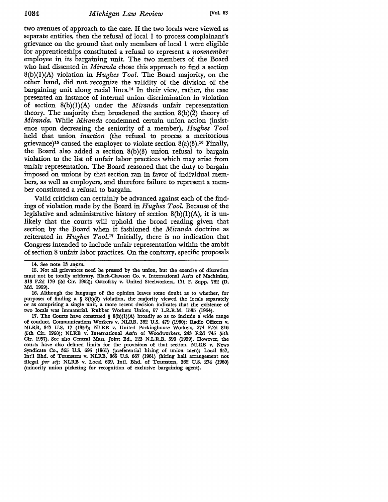two avenues of approach to the case. If the two locals were viewed as separate entities, then the refusal of local 1 to process complainant's grievance on the ground that only members of local 1 were eligible for apprenticeships constituted a refusal to represent a *nonmember*  employee in its bargaining unit. The two members of the Board who had dissented in *Miranda* chose this approach to find a section S(b)(l)(A) violation in *Hughes Tool.* The Board majority, on the other hand, did not recognize the validity of the division of the bargaining unit along racial lines.14 In their view, rather, the case presented an instance of internal union discrimination in violation of section 8(b)(l)(A) under the *Miranda* unfair representation theory. The majority then broadened the section 8(b)(2) theory of *Miranda.* While *Miranda* condemned certain union action (insistence upon decreasing the seniority of a member), *Hughes Tool*  held that union *inaction* (the refusal to process a meritorious grievance)<sup>15</sup> caused the employer to violate section  $8(a)(3)$ <sup>16</sup> Finally, the Board also added a section 8(b)(3) union refusal to bargain violation to the list of unfair labor practices which may arise from unfair representation. The Board reasoned that the duty to bargain imposed on unions by that section ran in favor of individual members, as well as employers, and therefore failure to represent a member constituted a refusal to bargain.

Valid criticism can certainly be advanced against each of the findings of violation made by the Board in *Hughes Tool.* Because of the legislative and administrative history of section  $8(b)(1)(A)$ , it is unlikely that the courts will uphold the broad reading given that section by the Board when it fashioned the *Miranda* doctrine as reiterated in *Hughes Tool.17* Initially, there is no indication that Congress intended to include unfair representation within the ambit of section 8 unfair labor practices. On the contrary, specific proposals

16. Although the language of the opinion leaves some doubt as to whether, for purposes of finding a § 8(b)(2) violation, the majority viewed the locals separately or as comprising a single unit, a more recent decision indicates that the existence of two locals was immaterial. Rubber Workers Union, 57 L.R.R.M. 1535 (1964).

17. The Courts have construed  $\S 8(b)(1)(A)$  broadly so as to include a wide range of conduct. Communications Workers v. NLRB, 362 U.S. 479 (1960); Radio Officers v. NLRB, 347 U.S. 17 (1954); NLRB v. United Packinghouse Workers, 274 F.2d 816 (5th Cir. 1960); NLRB v. International Ass'n of Woodworkers, 243 F.2d 745 (5th Cir. 1957). See also Central Mass. Joint Bd., 123 N.L.R.B. 590 (1959). However, the courts have also defined limits for the provisions of that section. NLRB v. News Syndicate Co., 365 U.S. 695 (1961) (preferential hiring of union men); Local 357, Int'l Bhd. of Teamsters v. NLRB,  $365$  U.S.  $667$  (1961) (hiring hall arrangement not illegal *per se*); NLRB v. Local  $639$ , Intl. Bhd. of Teamsters,  $362$  U.S.  $274$  (1960) (minority union picketing for recoguition of exclusive bargaining agent).

<sup>14.</sup> See note 13 *supra*.

<sup>15.</sup> Not all grievances need be pressed by the union, but the exercise of discretion must not be totally arbitrary. Black-Clawson Co. v. International Ass'n of Machinists, 313 F.2d 179 (2d Cir. 1962); Ostrofsky v. United Steelworkers, 171 F. Supp. 782 (D. Md. 1959).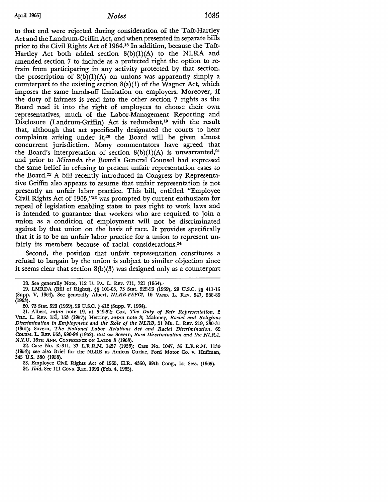to that end were rejected during consideration of the Taft-Hartley Act and the Landrum-Griffin Act, and when presented in separate bills prior to the **Civil** Rights Act of 1964.18 In addition, because the Taft-Hartley Act both added section  $8(b)(1)(A)$  to the NLRA and amended section 7 to include as a protected right the option to refrain from participating in any activity protected by that section, the proscription of  $8(b)(1)(A)$  on unions was apparently simply a counterpart to the existing section  $8(a)(1)$  of the Wagner Act, which imposes the same hands-off limitation on employers. Moreover, if the duty of fairness is read into the other section 7 rights as the Board read it into the right of employees to choose their own representatives, much of the Labor-Management Reporting and Disclosure (Landrum-Griffin) Act is redundant,<sup>19</sup> with the result that, although that act specifically designated the courts to hear complaints arising under it,<sup>20</sup> the Board will be given almost concurrent jurisdiction. Many commentators have agreed that the Board's interpretation of section  $8(b)(1)(A)$  is unwarranted,<sup>21</sup> and prior to *Miranda* the Board's General Counsel had expressed the same belief in refusing to present unfair representation cases to the Board.22 A bill recently introduced in Congress by Representative Griffin also appears to assume that unfair representation is not presently an unfair labor practice. This bill, entitled "Employee Civil Rights Act of 1965,"23 was prompted by current enthusiasm for repeal of legislation enabling states to pass right to work laws and is intended to guarantee that workers who are required to join a union as a condition of employment will not be discriminated against by that union on the basis of race. It provides specifically that it is to be an unfair labor practice for a union to represent unfairly its members because of racial considerations.<sup>24</sup>

Second, the position that unfair representation constitutes a refusal to bargain by the union is subject to similar objection since it seems clear that section 8(b)(3) was designed only as a counterpart

<sup>18.</sup> See generally Note, 112 U. PA. L. REv. 711, 721 (1964).·

<sup>19.</sup> LMRDA (Bill of Rights), §§ 101-05, 73 Stat. 522-23 (1959), 29 U.S.C. §§ 4II-15 (Supp. V, 1964). See generally Albert, *NLRB-FEPC?,* 16 VAND. L. REv. 547, 588-89 (1963).

<sup>20. 73</sup> Stat. 523 (1959), 29 U.S.C. § 412 (Supp. V. 1964).

<sup>21.</sup> Albert, *supra* note 19, at 549-52; Cox, *The Duty of Fair Representation,* 2 VILL. L. REv. 151, 153 (1957); Herring, *supra* note 3; Maloney, *Racial and Religious Discrimination in Employment and the Role of the NLRB,* 21 Mo. L. REv. 219, 230-31 (1961); Sovern, *The National Labor Relations Act and Racial Discrimination,* 62 CoLUM. L. REv. 563, 590-94 (1962). *But see* Sovern, *Race Discrimination and the NLRA,*  N.Y.U. 16TH ANN. CONFERENCE ON LABOR 3 (1963).

<sup>22.</sup> Case No. K-311, 37 L.R.R.M. 1457 (1956); Case No. 1047, 35 L.R.R.M. 1130 (1954); see also Brief for the NLRB as Amicus Curiae, Ford Motor Co. v. Huffman, 345 U.S. 330 (1953).

<sup>23.</sup> Employee Civil Rights Act of 1965, H.R. 4350, 89th Cong., 1st Sess. (1965). 24. *Ibid,* See Ill CONG. REc. 1993 (Feb. 4, 1965).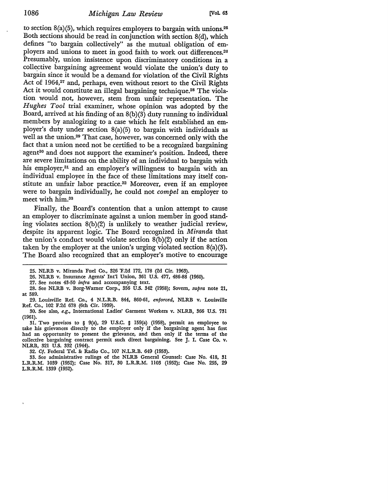to section  $8(a)(5)$ , which requires employers to bargain with unions.<sup>25</sup> Both sections should be read in conjunction with section S(d), which defines "to bargain collectively" as the mutual obligation of employers and unions to meet in good faith to work out differences.26 Presumably, union insistence upon discriminatory conditions in a colle\_ctive bargaining agreement would violate the union's duty to bargain since it would be a demand for violation of the Civil Rights Act of 1964,<sup>27</sup> and, perhaps, even without resort to the Civil Rights Act it would constitute an illegal bargaining technique.<sup>28</sup> The violation would *not,* however, stem from unfair representation. The *Hughes Tool* trial examiner, whose opinion was adopted by the Board, arrived at his finding of an 8(b)(3) duty running to individual members by analogizing to a case which he felt established an employer's duty under section 8(a)(5) to bargain with individuals as well as the union.29 That *case,* however, was concerned only with the fact that a union need not be certified to be a recognized bargaining agent<sup>30</sup> and does not support the examiner's position. Indeed, there are severe limitations on the ability of an individual to bargain with his employer,31 and an employer's willingness to bargain with an individual employee in the face of these limitations may itself constitute an unfair labor practice.32 Moreover, even if an employee were to bargain individually, he could not *compel* an employer to meet with him.<sup>33</sup>

Finally, the Board's contention that a union attempt to cause an employer to discriminate against a union member in good standing violates section 8(b)(2) is unlikely to weather judicial review, despite its apparent logic. The Board recognized in *Miranda* that the union's conduct would violate section 8(b)(2) only if the action taken by the employer at the union's urging violated section 8(a)(3). The Board also recognized that an employer's motive to encourage

26. NLRB v. Insurance Agents' Int'l Union, 361 U.S. 477, 486-88 (1960).

27. See notes 43-50 *infra* and accompanying text.

31. Two provisos to § 9(a), 29 U.S.C. § 159(a) (1958), permit an employee to take his grievances directly to the employer only if the bargaining agent has first had an opportunity to present the grievance, and then only if the terms of the collective bargaining contract permit such direct bargaining. See J. I. Case Co. v. NLRB, 321 U.S. 332 (1944).

32. Cf. Federal Tel. &: Radio Co., 107 N.L.R.B. 649 (1953).

33. See administrative rulings of the NLRB General Counsel: Case No. 418, 31 L.R.R.M. 1039 (1952); Case No. 317, 30 L.R.R.M. 1103 (1952); Case No. 255, 29 L.R.R.M. 1339 (1952).

<sup>25.</sup> NLRB v. Miranda Fuel Co., 326 'F.2d 172, 178 (2d Cir. 1963).

<sup>28.</sup> See NLRB v. Borg-Warner Corp., 356 U.S. 342 (1958); Sovern, *supra* note 21, at 589.

<sup>29.</sup> Louisville Ref. Co., 4 N.L.R.B. 844, 860-61, *enforced,* NLRB v. Louisville Ref. Co., 102 F.2d 678 (6th Cir. 1939).

<sup>30.</sup> See also, *e.g.,* International Ladies' Garment Workers v. NLRB, 366 U.S. 731 (1961).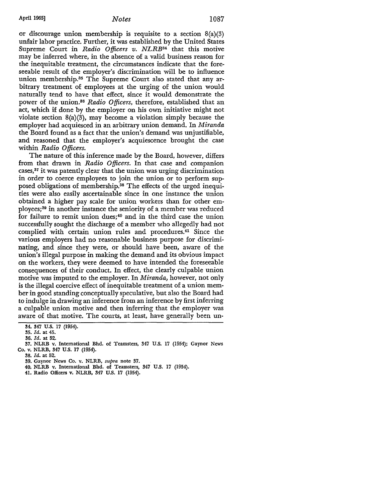or discourage union membership is requisite to a section  $8(a)(3)$ unfair labor practice. Further, it was established by the United States Supreme Court in *Radio Officers v. NLRB34* that this motive may be inferred where, in the absence of a valid business reason for the inequitable treatment, the circumstances indicate that the foreseeable result of the employer's discrimination will be to influence union membership.<sup>35</sup> The Supreme Court also stated that any arbitrary treatment of employees at the urging of the union would naturally tend to have that effect, since it would demonstrate the power of the union.36 *Radio Officers,* therefore, established that an act, which if done by the employer on his own initiative might not violate section 8(a)(3), may become a violation simply because the employer had acquiesced in an arbitrary union demand. In *Miranda*  the Board found as a fact that the union's demand was unjustifiable, and reasoned that the employer's acquiescence brought the case within *Radio Officers.* 

The nature of this inference made by the Board, however, differs from that drawn in *Radio Officers.* In that case and companion cases,37 it was patently clear that the union was urging discrimination in order to coerce employees to join the union or to perform supposed obligations of membership.38 The effects of the urged inequities were also easily ascertainable since in one instance the union obtained a higher pay scale for union workers than for other employees;39 in another instance the seniority of a member was reduced for failure to remit union dues; 40 and in the third case the union successfully sought the discharge of a member who allegedly had not complied with certain union rules and procedures.41 Since the various employers had no reasonable business purpose for discriminating, and since they were, or should have been, aware of the union's illegal purpose in making the demand and its obvious impact on the workers, they were deemed to have intended the foreseeable consequences of their conduct. In effect, the clearly culpable union motive was imputed to the employer. In *Miranda,* however, not only is the illegal coercive effect of inequitable treatment of a union member in good standing conceptually speculative, but also the Board had to indulge in drawing an inference from an inference by first inferring a culpable union motive and then inferring that the employer was aware of that motive. The courts, at least, have generally been un-

34. 347 U.S. 17 (1954).

38. *Id.* at 52.

- 40. NLRB v. International Bhd. of Teamsters, 347 U.S. 17 (1954).
- 41. Radio Officers v. NLRB, 347 U.S. 17 (1954).

<sup>!15.</sup> *Id.* at 45.

<sup>!16.</sup> *Id.* at 52.

<sup>37.</sup> NLRB v. International Bhd. of Teamsters, 347 U.S. 17 (1954); Gaynor News Co. v. NLRB, 347 U.S. 17 (1954).

<sup>39.</sup> Gaynor News Co. v. NLRB, *supra* note 37.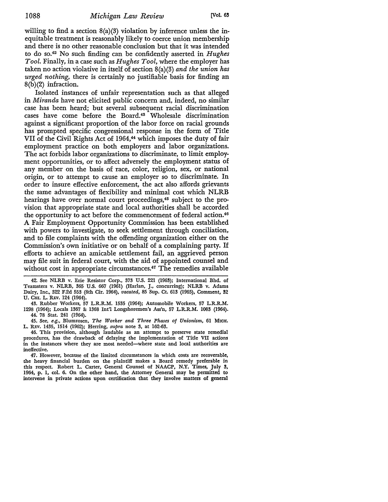willing to find a section  $8(a)(3)$  violation by inference unless the inequitable treatment is reasonably likely to coerce union membership and there is no other reasonable conclusion but that it was intended to do so.42 No such finding can be confidently asserted in *Hughes Tool.* Finally, in a case such as *Hughes Tool,* where the employer has taken no action violative in itself of section 8(a)(3) *and the union has urged nothing,* there is certainly no justifiable basis for finding an  $8(b)(2)$  infraction.

Isolated instances of unfair representation such as that alleged in *Miranda* have not elicited public concern and, indeed, no similar case has been heard; but several subsequent racial discrimination cases have come before the Board.43 Wholesale discrimination against a significant proportion of the labor force on racial grounds has prompted specific congressional response in the form of Title VII of the Civil Rights Act of 1964,<sup>44</sup> which imposes the duty of fair employment practice on both employers and labor organizations. The act forbids labor organizations to discriminate, to limit employment opportunities, or to affect adversely the employment status of any member on the basis of race, color, religion, sex, or national origin, or to attempt to cause an employer so to discriminate. In order to insure effective enforcement, the act also affords grievants the same advantages of flexibility and minimal cost which NLRB hearings have over normal court proceedings,<sup>45</sup> subject to the provision that appropriate state and local authorities shall be accorded the opportunity to act before the commencement of federal action.40 A Fair Employment Opportunity Commission has been established with powers to investigate, to seek settlement through conciliation, and to file complaints with the offending organization either on the Commission's own initiative or on behalf of a complaining party. If efforts to achieve an amicable settlement fail, an aggrieved person may file suit in federal court, with the aid of appointed counsel and without cost in appropriate circumstances.<sup>47</sup> The remedies available

42. See NLRB v. Erie Resistor Corp., 373 U.S. 221 (1963); International Bhd. of Teamsters v. NLRB, 365 U.S. 667 (1961) (Harlan, J., concurring); NLRB v. Adams Dairy, Inc., 322 F.2d 553 (8th Cir. 1964), *vacated,* 85 Sup. Ct. 613 (1965), Comment, 32 U. Cm. L. REv. 124 (1964).

43. Rubber Workers, 57 L.R.R.M. 1535 (1964); Automobile Workers, 57 L.R.R.M. 1298 (1964); Locals 1367 & 1368 Int'l Longshoremen's Ass'n, 57 L.R.R.M. 1083 (1964). 44. 78 Stat. 241 (1964).

45. See, *e.g.,* Blumrosen, *The Worker and Three Phases of Unionism,* 61 MICH. L. R.Ev. 1435, 1514 (1962); Herring, *supra* note 3, at 162-63.

46. This provision, although laudable as an attempt to preserve state remedial procedures, has the drawback of delaying the implementation of Title VII actions in the instances where they are most needed-where state and local authorities are ineffective.

47. However, because of the limited circumstances in which costs are recoverable, the heavy financial burden on the plaintiff makes a Board remedy preferable in this respect. Robert L. Carter, General Counsel of NAACP, **N.Y.** Times, July 3, 1964, p. 1, col. 6. On the other hand, the Attorney General may be permitted to intervene in private actions upon certification that they involve matters **of general**